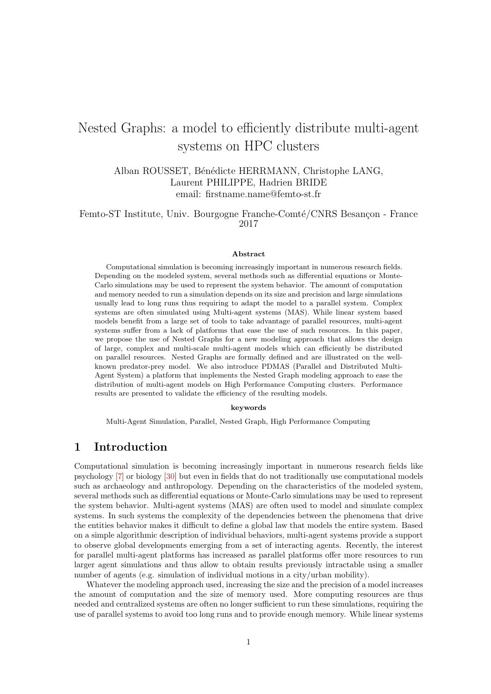# Nested Graphs: a model to efficiently distribute multi-agent systems on HPC clusters

Alban ROUSSET, Bénédicte HERRMANN, Christophe LANG, Laurent PHILIPPE, Hadrien BRIDE email: firstname.name@femto-st.fr

Femto-ST Institute, Univ. Bourgogne Franche-Comté/CNRS Besançon - France 2017

#### Abstract

Computational simulation is becoming increasingly important in numerous research fields. Depending on the modeled system, several methods such as differential equations or Monte-Carlo simulations may be used to represent the system behavior. The amount of computation and memory needed to run a simulation depends on its size and precision and large simulations usually lead to long runs thus requiring to adapt the model to a parallel system. Complex systems are often simulated using Multi-agent systems (MAS). While linear system based models benefit from a large set of tools to take advantage of parallel resources, multi-agent systems suffer from a lack of platforms that ease the use of such resources. In this paper, we propose the use of Nested Graphs for a new modeling approach that allows the design of large, complex and multi-scale multi-agent models which can efficiently be distributed on parallel resources. Nested Graphs are formally defined and are illustrated on the wellknown predator-prey model. We also introduce PDMAS (Parallel and Distributed Multi-Agent System) a platform that implements the Nested Graph modeling approach to ease the distribution of multi-agent models on High Performance Computing clusters. Performance results are presented to validate the efficiency of the resulting models.

#### keywords

Multi-Agent Simulation, Parallel, Nested Graph, High Performance Computing

### 1 Introduction

Computational simulation is becoming increasingly important in numerous research fields like psychology [\[7\]](#page-21-0) or biology [\[30\]](#page-22-0) but even in fields that do not traditionally use computational models such as archaeology and anthropology. Depending on the characteristics of the modeled system, several methods such as differential equations or Monte-Carlo simulations may be used to represent the system behavior. Multi-agent systems (MAS) are often used to model and simulate complex systems. In such systems the complexity of the dependencies between the phenomena that drive the entities behavior makes it difficult to define a global law that models the entire system. Based on a simple algorithmic description of individual behaviors, multi-agent systems provide a support to observe global developments emerging from a set of interacting agents. Recently, the interest for parallel multi-agent platforms has increased as parallel platforms offer more resources to run larger agent simulations and thus allow to obtain results previously intractable using a smaller number of agents (e.g. simulation of individual motions in a city/urban mobility).

Whatever the modeling approach used, increasing the size and the precision of a model increases the amount of computation and the size of memory used. More computing resources are thus needed and centralized systems are often no longer sufficient to run these simulations, requiring the use of parallel systems to avoid too long runs and to provide enough memory. While linear systems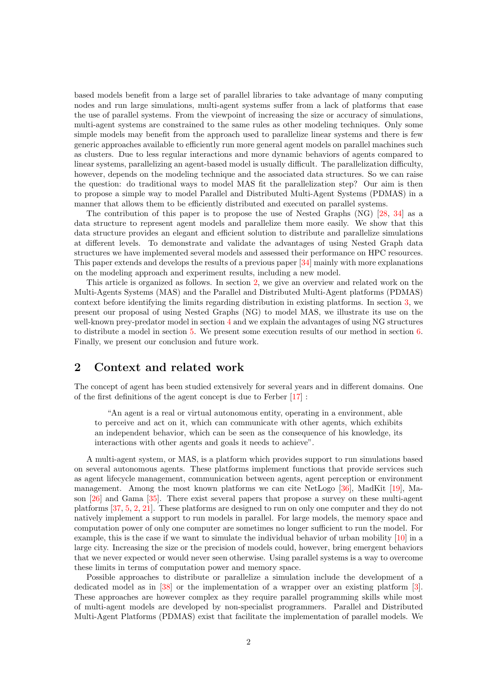based models benefit from a large set of parallel libraries to take advantage of many computing nodes and run large simulations, multi-agent systems suffer from a lack of platforms that ease the use of parallel systems. From the viewpoint of increasing the size or accuracy of simulations, multi-agent systems are constrained to the same rules as other modeling techniques. Only some simple models may benefit from the approach used to parallelize linear systems and there is few generic approaches available to efficiently run more general agent models on parallel machines such as clusters. Due to less regular interactions and more dynamic behaviors of agents compared to linear systems, parallelizing an agent-based model is usually difficult. The parallelization difficulty, however, depends on the modeling technique and the associated data structures. So we can raise the question: do traditional ways to model MAS fit the parallelization step? Our aim is then to propose a simple way to model Parallel and Distributed Multi-Agent Systems (PDMAS) in a manner that allows them to be efficiently distributed and executed on parallel systems.

The contribution of this paper is to propose the use of Nested Graphs (NG) [\[28,](#page-22-1) [34\]](#page-22-2) as a data structure to represent agent models and parallelize them more easily. We show that this data structure provides an elegant and efficient solution to distribute and parallelize simulations at different levels. To demonstrate and validate the advantages of using Nested Graph data structures we have implemented several models and assessed their performance on HPC resources. This paper extends and develops the results of a previous paper [\[34\]](#page-22-2) mainly with more explanations on the modeling approach and experiment results, including a new model.

This article is organized as follows. In section [2,](#page-1-0) we give an overview and related work on the Multi-Agents Systems (MAS) and the Parallel and Distributed Multi-Agent platforms (PDMAS) context before identifying the limits regarding distribution in existing platforms. In section [3,](#page-3-0) we present our proposal of using Nested Graphs (NG) to model MAS, we illustrate its use on the well-known prey-predator model in section [4](#page-5-0) and we explain the advantages of using NG structures to distribute a model in section [5.](#page-8-0) We present some execution results of our method in section [6.](#page-14-0) Finally, we present our conclusion and future work.

### <span id="page-1-0"></span>2 Context and related work

The concept of agent has been studied extensively for several years and in different domains. One of the first definitions of the agent concept is due to Ferber [\[17\]](#page-21-1) :

"An agent is a real or virtual autonomous entity, operating in a environment, able to perceive and act on it, which can communicate with other agents, which exhibits an independent behavior, which can be seen as the consequence of his knowledge, its interactions with other agents and goals it needs to achieve".

A multi-agent system, or MAS, is a platform which provides support to run simulations based on several autonomous agents. These platforms implement functions that provide services such as agent lifecycle management, communication between agents, agent perception or environment management. Among the most known platforms we can cite NetLogo [\[36\]](#page-22-3), MadKit [\[19\]](#page-21-2), Mason [\[26\]](#page-22-4) and Gama [\[35\]](#page-22-5). There exist several papers that propose a survey on these multi-agent platforms [\[37,](#page-23-0) [5,](#page-20-0) [2,](#page-20-1) [21\]](#page-21-3). These platforms are designed to run on only one computer and they do not natively implement a support to run models in parallel. For large models, the memory space and computation power of only one computer are sometimes no longer sufficient to run the model. For example, this is the case if we want to simulate the individual behavior of urban mobility [\[10\]](#page-21-4) in a large city. Increasing the size or the precision of models could, however, bring emergent behaviors that we never expected or would never seen otherwise. Using parallel systems is a way to overcome these limits in terms of computation power and memory space.

Possible approaches to distribute or parallelize a simulation include the development of a dedicated model as in [\[38\]](#page-23-1) or the implementation of a wrapper over an existing platform [\[3\]](#page-20-2). These approaches are however complex as they require parallel programming skills while most of multi-agent models are developed by non-specialist programmers. Parallel and Distributed Multi-Agent Platforms (PDMAS) exist that facilitate the implementation of parallel models. We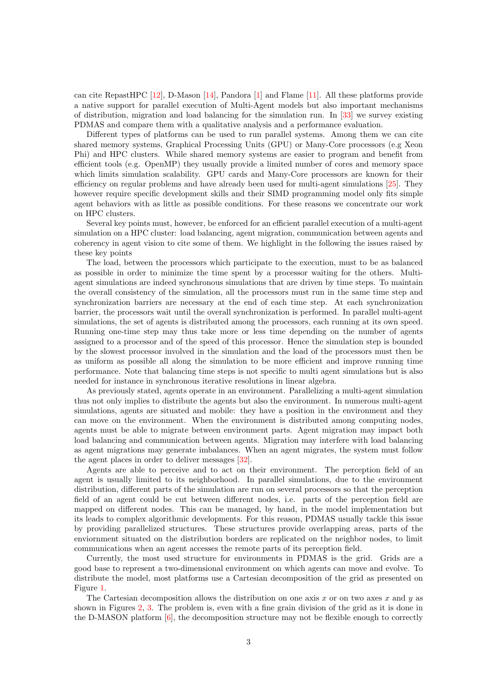can cite RepastHPC [\[12\]](#page-21-5), D-Mason [\[14\]](#page-21-6), Pandora [\[1\]](#page-20-3) and Flame [\[11\]](#page-21-7). All these platforms provide a native support for parallel execution of Multi-Agent models but also important mechanisms of distribution, migration and load balancing for the simulation run. In [\[33\]](#page-22-6) we survey existing PDMAS and compare them with a qualitative analysis and a performance evaluation.

Different types of platforms can be used to run parallel systems. Among them we can cite shared memory systems, Graphical Processing Units (GPU) or Many-Core processors (e.g Xeon Phi) and HPC clusters. While shared memory systems are easier to program and benefit from efficient tools (e.g. OpenMP) they usually provide a limited number of cores and memory space which limits simulation scalability. GPU cards and Many-Core processors are known for their efficiency on regular problems and have already been used for multi-agent simulations [\[25\]](#page-22-7). They however require specific development skills and their SIMD programming model only fits simple agent behaviors with as little as possible conditions. For these reasons we concentrate our work on HPC clusters.

Several key points must, however, be enforced for an efficient parallel execution of a multi-agent simulation on a HPC cluster: load balancing, agent migration, communication between agents and coherency in agent vision to cite some of them. We highlight in the following the issues raised by these key points

The load, between the processors which participate to the execution, must to be as balanced as possible in order to minimize the time spent by a processor waiting for the others. Multiagent simulations are indeed synchronous simulations that are driven by time steps. To maintain the overall consistency of the simulation, all the processors must run in the same time step and synchronization barriers are necessary at the end of each time step. At each synchronization barrier, the processors wait until the overall synchronization is performed. In parallel multi-agent simulations, the set of agents is distributed among the processors, each running at its own speed. Running one-time step may thus take more or less time depending on the number of agents assigned to a processor and of the speed of this processor. Hence the simulation step is bounded by the slowest processor involved in the simulation and the load of the processors must then be as uniform as possible all along the simulation to be more efficient and improve running time performance. Note that balancing time steps is not specific to multi agent simulations but is also needed for instance in synchronous iterative resolutions in linear algebra.

As previously stated, agents operate in an environment. Parallelizing a multi-agent simulation thus not only implies to distribute the agents but also the environment. In numerous multi-agent simulations, agents are situated and mobile: they have a position in the environment and they can move on the environment. When the environment is distributed among computing nodes, agents must be able to migrate between environment parts. Agent migration may impact both load balancing and communication between agents. Migration may interfere with load balancing as agent migrations may generate imbalances. When an agent migrates, the system must follow the agent places in order to deliver messages [\[32\]](#page-22-8).

Agents are able to perceive and to act on their environment. The perception field of an agent is usually limited to its neighborhood. In parallel simulations, due to the environment distribution, different parts of the simulation are run on several processors so that the perception field of an agent could be cut between different nodes, i.e. parts of the perception field are mapped on different nodes. This can be managed, by hand, in the model implementation but its leads to complex algorithmic developments. For this reason, PDMAS usually tackle this issue by providing parallelized structures. These structures provide overlapping areas, parts of the enviornment situated on the distribution borders are replicated on the neighbor nodes, to limit communications when an agent accesses the remote parts of its perception field.

Currently, the most used structure for environments in PDMAS is the grid. Grids are a good base to represent a two-dimensional environment on which agents can move and evolve. To distribute the model, most platforms use a Cartesian decomposition of the grid as presented on Figure [1.](#page-3-1)

The Cartesian decomposition allows the distribution on one axis x or on two axes x and y as shown in Figures [2,](#page-3-2) [3.](#page-3-3) The problem is, even with a fine grain division of the grid as it is done in the D-MASON platform [\[6\]](#page-21-8), the decomposition structure may not be flexible enough to correctly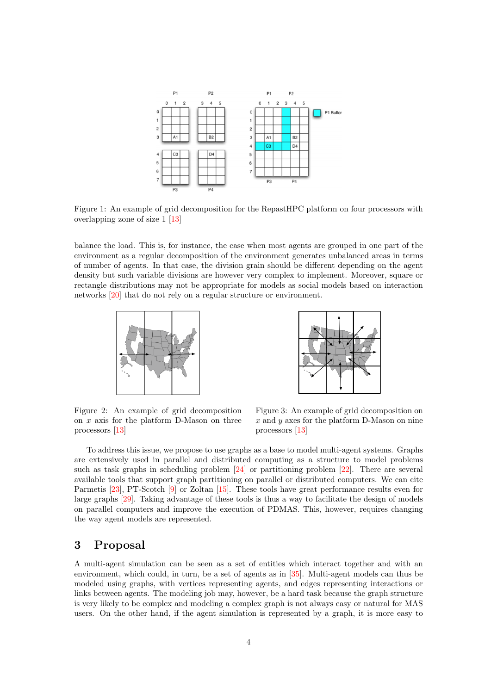

<span id="page-3-1"></span>Figure 1: An example of grid decomposition for the RepastHPC platform on four processors with overlapping zone of size 1 [\[13\]](#page-21-9)

balance the load. This is, for instance, the case when most agents are grouped in one part of the environment as a regular decomposition of the environment generates unbalanced areas in terms of number of agents. In that case, the division grain should be different depending on the agent density but such variable divisions are however very complex to implement. Moreover, square or rectangle distributions may not be appropriate for models as social models based on interaction networks [\[20\]](#page-21-10) that do not rely on a regular structure or environment.





<span id="page-3-2"></span>Figure 2: An example of grid decomposition on x axis for the platform D-Mason on three processors [\[13\]](#page-21-9)

<span id="page-3-3"></span>Figure 3: An example of grid decomposition on  $x$  and  $y$  axes for the platform D-Mason on nine processors [\[13\]](#page-21-9)

To address this issue, we propose to use graphs as a base to model multi-agent systems. Graphs are extensively used in parallel and distributed computing as a structure to model problems such as task graphs in scheduling problem [\[24\]](#page-22-9) or partitioning problem [\[22\]](#page-22-10). There are several available tools that support graph partitioning on parallel or distributed computers. We can cite Parmetis [\[23\]](#page-22-11), PT-Scotch [\[9\]](#page-21-11) or Zoltan [\[15\]](#page-21-12). These tools have great performance results even for large graphs [\[29\]](#page-22-12). Taking advantage of these tools is thus a way to facilitate the design of models on parallel computers and improve the execution of PDMAS. This, however, requires changing the way agent models are represented.

### <span id="page-3-0"></span>3 Proposal

A multi-agent simulation can be seen as a set of entities which interact together and with an environment, which could, in turn, be a set of agents as in [\[35\]](#page-22-5). Multi-agent models can thus be modeled using graphs, with vertices representing agents, and edges representing interactions or links between agents. The modeling job may, however, be a hard task because the graph structure is very likely to be complex and modeling a complex graph is not always easy or natural for MAS users. On the other hand, if the agent simulation is represented by a graph, it is more easy to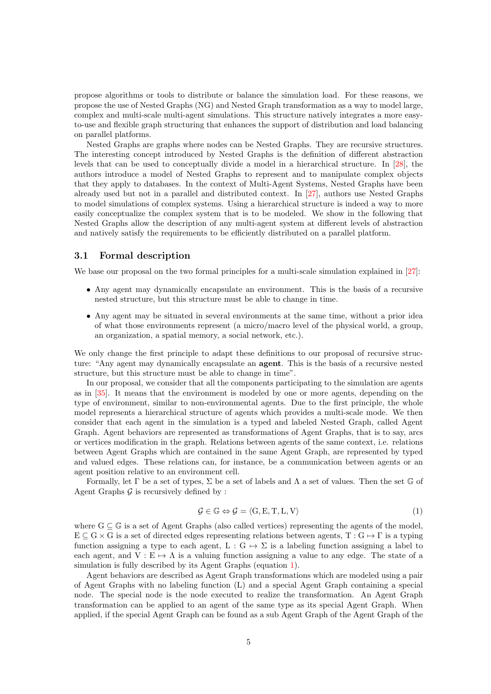propose algorithms or tools to distribute or balance the simulation load. For these reasons, we propose the use of Nested Graphs (NG) and Nested Graph transformation as a way to model large, complex and multi-scale multi-agent simulations. This structure natively integrates a more easyto-use and flexible graph structuring that enhances the support of distribution and load balancing on parallel platforms.

Nested Graphs are graphs where nodes can be Nested Graphs. They are recursive structures. The interesting concept introduced by Nested Graphs is the definition of different abstraction levels that can be used to conceptually divide a model in a hierarchical structure. In [\[28\]](#page-22-1), the authors introduce a model of Nested Graphs to represent and to manipulate complex objects that they apply to databases. In the context of Multi-Agent Systems, Nested Graphs have been already used but not in a parallel and distributed context. In [\[27\]](#page-22-13), authors use Nested Graphs to model simulations of complex systems. Using a hierarchical structure is indeed a way to more easily conceptualize the complex system that is to be modeled. We show in the following that Nested Graphs allow the description of any multi-agent system at different levels of abstraction and natively satisfy the requirements to be efficiently distributed on a parallel platform.

#### 3.1 Formal description

We base our proposal on the two formal principles for a multi-scale simulation explained in [\[27\]](#page-22-13):

- Any agent may dynamically encapsulate an environment. This is the basis of a recursive nested structure, but this structure must be able to change in time.
- Any agent may be situated in several environments at the same time, without a prior idea of what those environments represent (a micro/macro level of the physical world, a group, an organization, a spatial memory, a social network, etc.).

We only change the first principle to adapt these definitions to our proposal of recursive structure: "Any agent may dynamically encapsulate an agent. This is the basis of a recursive nested structure, but this structure must be able to change in time".

In our proposal, we consider that all the components participating to the simulation are agents as in [\[35\]](#page-22-5). It means that the environment is modeled by one or more agents, depending on the type of environment, similar to non-environmental agents. Due to the first principle, the whole model represents a hierarchical structure of agents which provides a multi-scale mode. We then consider that each agent in the simulation is a typed and labeled Nested Graph, called Agent Graph. Agent behaviors are represented as transformations of Agent Graphs, that is to say, arcs or vertices modification in the graph. Relations between agents of the same context, i.e. relations between Agent Graphs which are contained in the same Agent Graph, are represented by typed and valued edges. These relations can, for instance, be a communication between agents or an agent position relative to an environment cell.

Formally, let  $\Gamma$  be a set of types,  $\Sigma$  be a set of labels and  $\Lambda$  a set of values. Then the set  $\mathbb G$  of Agent Graphs  $\mathcal G$  is recursively defined by :

<span id="page-4-0"></span>
$$
\mathcal{G} \in \mathbb{G} \Leftrightarrow \mathcal{G} = \langle G, E, T, L, V \rangle \tag{1}
$$

where  $G \subseteq \mathbb{G}$  is a set of Agent Graphs (also called vertices) representing the agents of the model,  $E \subseteq G \times G$  is a set of directed edges representing relations between agents,  $T : G \mapsto \Gamma$  is a typing function assigning a type to each agent,  $L : G \mapsto \Sigma$  is a labeling function assigning a label to each agent, and V :  $E \mapsto \Lambda$  is a valuing function assigning a value to any edge. The state of a simulation is fully described by its Agent Graphs (equation [1\)](#page-4-0).

Agent behaviors are described as Agent Graph transformations which are modeled using a pair of Agent Graphs with no labeling function (L) and a special Agent Graph containing a special node. The special node is the node executed to realize the transformation. An Agent Graph transformation can be applied to an agent of the same type as its special Agent Graph. When applied, if the special Agent Graph can be found as a sub Agent Graph of the Agent Graph of the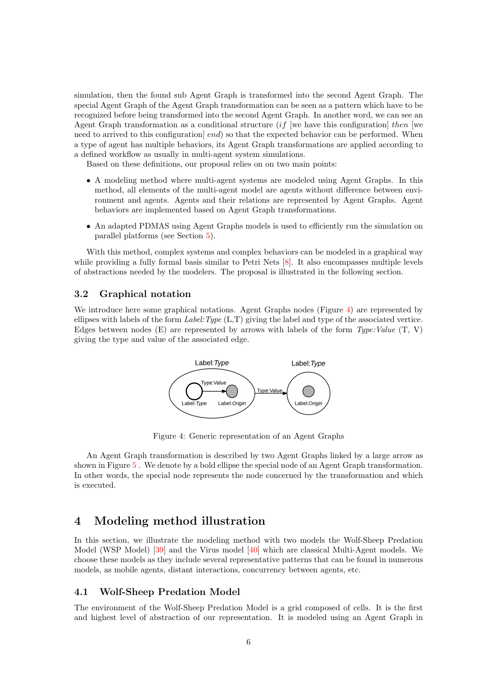simulation, then the found sub Agent Graph is transformed into the second Agent Graph. The special Agent Graph of the Agent Graph transformation can be seen as a pattern which have to be recognized before being transformed into the second Agent Graph. In another word, we can see an Agent Graph transformation as a conditional structure (if [we have this configuration] then [we need to arrived to this configuration *end*) so that the expected behavior can be performed. When a type of agent has multiple behaviors, its Agent Graph transformations are applied according to a defined workflow as usually in multi-agent system simulations.

Based on these definitions, our proposal relies on on two main points:

- A modeling method where multi-agent systems are modeled using Agent Graphs. In this method, all elements of the multi-agent model are agents without difference between environment and agents. Agents and their relations are represented by Agent Graphs. Agent behaviors are implemented based on Agent Graph transformations.
- An adapted PDMAS using Agent Graphs models is used to efficiently run the simulation on parallel platforms (see Section [5\)](#page-8-0).

With this method, complex systems and complex behaviors can be modeled in a graphical way while providing a fully formal basis similar to Petri Nets [\[8\]](#page-21-13). It also encompasses multiple levels of abstractions needed by the modelers. The proposal is illustrated in the following section.

#### 3.2 Graphical notation

We introduce here some graphical notations. Agent Graphs nodes (Figure [4\)](#page-5-1) are represented by ellipses with labels of the form Label:Type (L,T) giving the label and type of the associated vertice. Edges between nodes  $(E)$  are represented by arrows with labels of the form  $Type:Value(T, V)$ giving the type and value of the associated edge.



<span id="page-5-1"></span>Figure 4: Generic representation of an Agent Graphs

An Agent Graph transformation is described by two Agent Graphs linked by a large arrow as shown in Figure [5](#page-6-0) . We denote by a bold ellipse the special node of an Agent Graph transformation. In other words, the special node represents the node concerned by the transformation and which is executed.

## <span id="page-5-0"></span>4 Modeling method illustration

In this section, we illustrate the modeling method with two models the Wolf-Sheep Predation Model (WSP Model) [\[39\]](#page-23-2) and the Virus model [\[40\]](#page-23-3) which are classical Multi-Agent models. We choose these models as they include several representative patterns that can be found in numerous models, as mobile agents, distant interactions, concurrency between agents, etc.

### 4.1 Wolf-Sheep Predation Model

The environment of the Wolf-Sheep Predation Model is a grid composed of cells. It is the first and highest level of abstraction of our representation. It is modeled using an Agent Graph in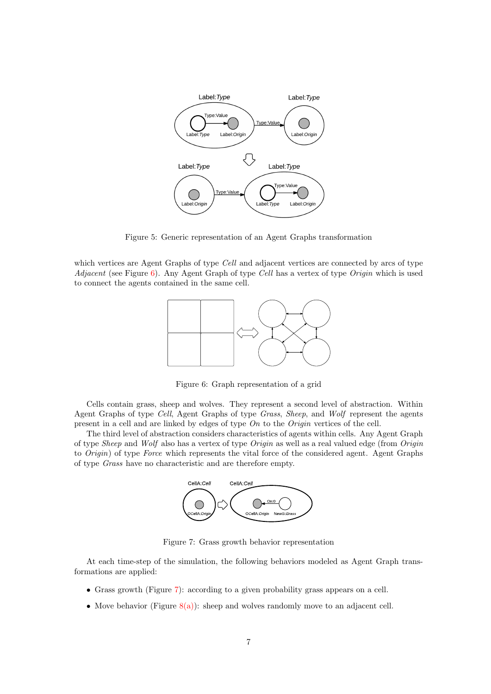

<span id="page-6-0"></span>Figure 5: Generic representation of an Agent Graphs transformation

which vertices are Agent Graphs of type Cell and adjacent vertices are connected by arcs of type Adjacent (see Figure [6\)](#page-6-1). Any Agent Graph of type Cell has a vertex of type Origin which is used to connect the agents contained in the same cell.



<span id="page-6-1"></span>Figure 6: Graph representation of a grid

Cells contain grass, sheep and wolves. They represent a second level of abstraction. Within Agent Graphs of type Cell, Agent Graphs of type Grass, Sheep, and Wolf represent the agents present in a cell and are linked by edges of type On to the Origin vertices of the cell.

The third level of abstraction considers characteristics of agents within cells. Any Agent Graph of type Sheep and Wolf also has a vertex of type Origin as well as a real valued edge (from Origin to Origin) of type Force which represents the vital force of the considered agent. Agent Graphs of type Grass have no characteristic and are therefore empty.



<span id="page-6-2"></span>Figure 7: Grass growth behavior representation

At each time-step of the simulation, the following behaviors modeled as Agent Graph transformations are applied:

- Grass growth (Figure [7\)](#page-6-2): according to a given probability grass appears on a cell.
- Move behavior (Figure  $8(a)$ ): sheep and wolves randomly move to an adjacent cell.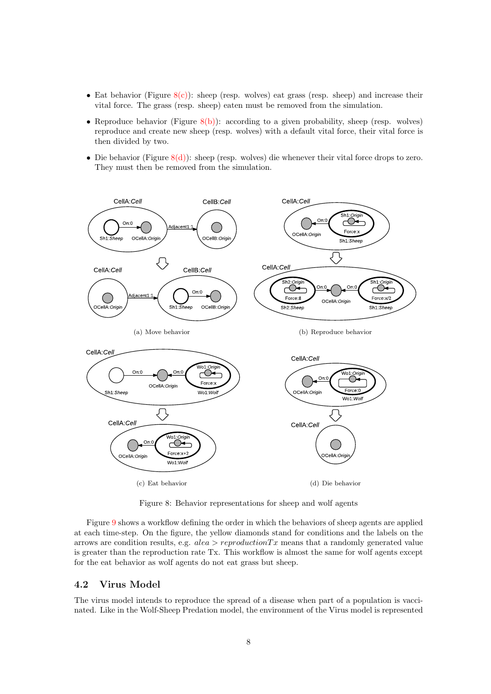- Eat behavior (Figure  $8(c)$ ): sheep (resp. wolves) eat grass (resp. sheep) and increase their vital force. The grass (resp. sheep) eaten must be removed from the simulation.
- Reproduce behavior (Figure  $8(b)$ ): according to a given probability, sheep (resp. wolves) reproduce and create new sheep (resp. wolves) with a default vital force, their vital force is then divided by two.
- Die behavior (Figure  $8(d)$ ): sheep (resp. wolves) die whenever their vital force drops to zero. They must then be removed from the simulation.

<span id="page-7-2"></span><span id="page-7-0"></span>

<span id="page-7-3"></span>Figure 8: Behavior representations for sheep and wolf agents

<span id="page-7-1"></span>Figure [9](#page-8-1) shows a workflow defining the order in which the behaviors of sheep agents are applied at each time-step. On the figure, the yellow diamonds stand for conditions and the labels on the arrows are condition results, e.g.  $alea > reproductionTx$  means that a randomly generated value is greater than the reproduction rate Tx. This workflow is almost the same for wolf agents except for the eat behavior as wolf agents do not eat grass but sheep.

### 4.2 Virus Model

The virus model intends to reproduce the spread of a disease when part of a population is vaccinated. Like in the Wolf-Sheep Predation model, the environment of the Virus model is represented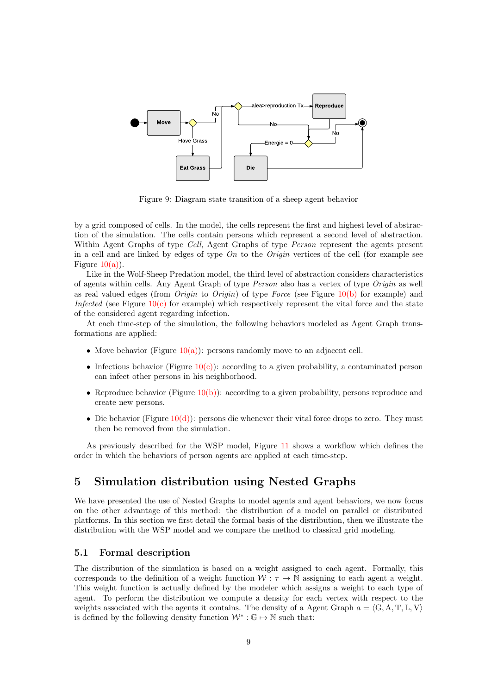

<span id="page-8-1"></span>Figure 9: Diagram state transition of a sheep agent behavior

by a grid composed of cells. In the model, the cells represent the first and highest level of abstraction of the simulation. The cells contain persons which represent a second level of abstraction. Within Agent Graphs of type Cell, Agent Graphs of type Person represent the agents present in a cell and are linked by edges of type  $On$  to the  $Origin$  vertices of the cell (for example see Figure  $10(a)$ ).

Like in the Wolf-Sheep Predation model, the third level of abstraction considers characteristics of agents within cells. Any Agent Graph of type Person also has a vertex of type Origin as well as real valued edges (from *Origin* to *Origin*) of type Force (see Figure  $10(b)$  for example) and Infected (see Figure  $10(c)$  for example) which respectively represent the vital force and the state of the considered agent regarding infection.

At each time-step of the simulation, the following behaviors modeled as Agent Graph transformations are applied:

- Move behavior (Figure  $10(a)$ ): persons randomly move to an adjacent cell.
- Infectious behavior (Figure  $10(c)$ ): according to a given probability, a contaminated person can infect other persons in his neighborhood.
- Reproduce behavior (Figure  $10(b)$ ): according to a given probability, persons reproduce and create new persons.
- Die behavior (Figure  $10(d)$ ): persons die whenever their vital force drops to zero. They must then be removed from the simulation.

As previously described for the WSP model, Figure [11](#page-9-4) shows a workflow which defines the order in which the behaviors of person agents are applied at each time-step.

## <span id="page-8-0"></span>5 Simulation distribution using Nested Graphs

We have presented the use of Nested Graphs to model agents and agent behaviors, we now focus on the other advantage of this method: the distribution of a model on parallel or distributed platforms. In this section we first detail the formal basis of the distribution, then we illustrate the distribution with the WSP model and we compare the method to classical grid modeling.

#### 5.1 Formal description

The distribution of the simulation is based on a weight assigned to each agent. Formally, this corresponds to the definition of a weight function  $W : \tau \to \mathbb{N}$  assigning to each agent a weight. This weight function is actually defined by the modeler which assigns a weight to each type of agent. To perform the distribution we compute a density for each vertex with respect to the weights associated with the agents it contains. The density of a Agent Graph  $a = \langle G, A, T, L, V \rangle$ is defined by the following density function  $\mathcal{W}^* : \mathbb{G} \mapsto \mathbb{N}$  such that: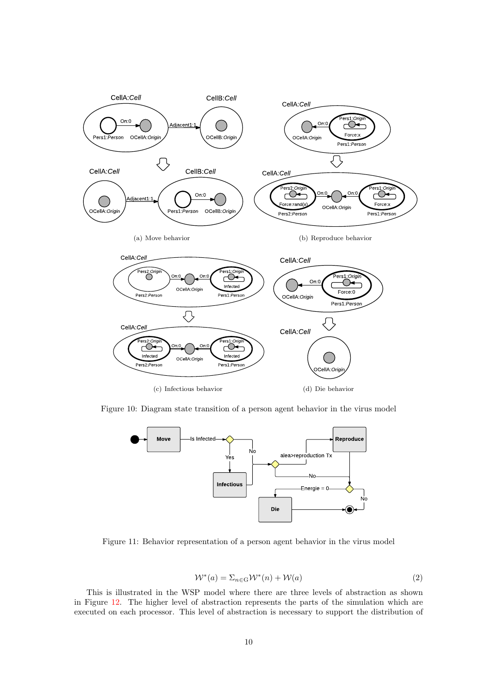<span id="page-9-1"></span><span id="page-9-0"></span>

<span id="page-9-2"></span>Figure 10: Diagram state transition of a person agent behavior in the virus model

<span id="page-9-3"></span>

<span id="page-9-4"></span>Figure 11: Behavior representation of a person agent behavior in the virus model

$$
\mathcal{W}^*(a) = \Sigma_{n \in \mathcal{G}} \mathcal{W}^*(n) + \mathcal{W}(a)
$$
\n<sup>(2)</sup>

This is illustrated in the WSP model where there are three levels of abstraction as shown in Figure [12.](#page-10-0) The higher level of abstraction represents the parts of the simulation which are executed on each processor. This level of abstraction is necessary to support the distribution of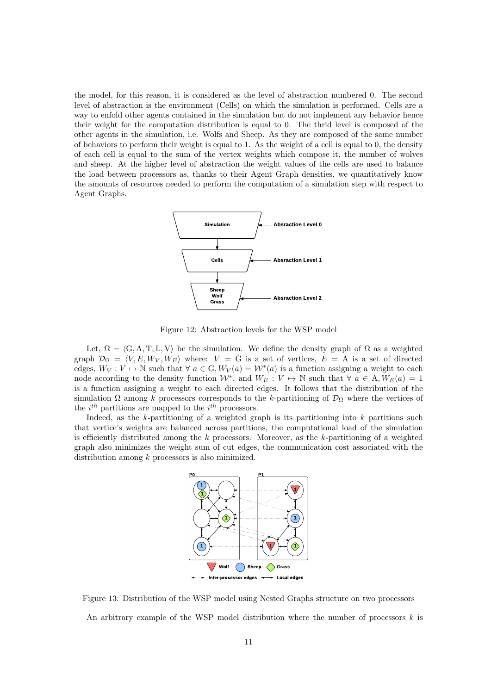the model, for this reason, it is considered as the level of abstraction numbered 0. The second level of abstraction is the environment (Cells) on which the simulation is performed. Cells are a way to enfold other agents contained in the simulation but do not implement any behavior hence their weight for the computation distribution is equal to 0. The thrid level is composed of the other agents in the simulation, i.e. Wolfs and Sheep. As they are composed of the same number of behaviors to perform their weight is equal to 1. As the weight of a cell is equal to 0, the density of each cell is equal to the sum of the vertex weights which compose it, the number of wolves and sheep. At the higher level of abstraction the weight values of the cells are used to balance the load between processors as, thanks to their Agent Graph densities, we quantitatively know the amounts of resources needed to perform the computation of a simulation step with respect to Agent Graphs.



<span id="page-10-0"></span>Figure 12: Abstraction levels for the WSP model

Let,  $\Omega = \langle G, A, T, L, V \rangle$  be the simulation. We define the density graph of  $\Omega$  as a weighted graph  $\mathcal{D}_{\Omega} = \langle V, E, W_V, W_E \rangle$  where:  $V = G$  is a set of vertices,  $E = A$  is a set of directed edges,  $W_V: V \to \mathbb{N}$  such that  $\forall a \in G, W_V(a) = \mathcal{W}^*(a)$  is a function assigning a weight to each node according to the density function  $W^*$ , and  $W_E: V \mapsto \mathbb{N}$  such that  $\forall a \in A, W_E(a) = 1$ is a function assigning a weight to each directed edges. It follows that the distribution of the simulation  $\Omega$  among k processors corresponds to the k-partitioning of  $\mathcal{D}_{\Omega}$  where the vertices of the  $i^{th}$  partitions are mapped to the  $i^{th}$  processors.

Indeed, as the k-partitioning of a weighted graph is its partitioning into  $k$  partitions such that vertice's weights are balanced across partitions, the computational load of the simulation is efficiently distributed among the  $k$  processors. Moreover, as the  $k$ -partitioning of a weighted graph also minimizes the weight sum of cut edges, the communication cost associated with the distribution among k processors is also minimized.



<span id="page-10-1"></span>Figure 13: Distribution of the WSP model using Nested Graphs structure on two processors An arbitrary example of the WSP model distribution where the number of processors  $k$  is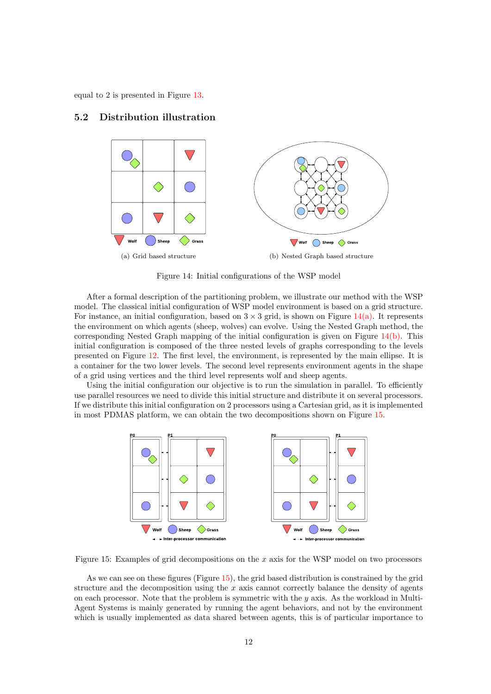equal to 2 is presented in Figure [13.](#page-10-1)

#### <span id="page-11-0"></span>5.2 Distribution illustration



<span id="page-11-1"></span>Figure 14: Initial configurations of the WSP model

After a formal description of the partitioning problem, we illustrate our method with the WSP model. The classical initial configuration of WSP model environment is based on a grid structure. For instance, an initial configuration, based on  $3 \times 3$  grid, is shown on Figure [14\(a\).](#page-11-0) It represents the environment on which agents (sheep, wolves) can evolve. Using the Nested Graph method, the corresponding Nested Graph mapping of the initial configuration is given on Figure [14\(b\).](#page-11-1) This initial configuration is composed of the three nested levels of graphs corresponding to the levels presented on Figure [12.](#page-10-0) The first level, the environment, is represented by the main ellipse. It is a container for the two lower levels. The second level represents environment agents in the shape of a grid using vertices and the third level represents wolf and sheep agents.

Using the initial configuration our objective is to run the simulation in parallel. To efficiently use parallel resources we need to divide this initial structure and distribute it on several processors. If we distribute this initial configuration on 2 processors using a Cartesian grid, as it is implemented in most PDMAS platform, we can obtain the two decompositions shown on Figure [15.](#page-11-2)



<span id="page-11-2"></span>Figure 15: Examples of grid decompositions on the  $x$  axis for the WSP model on two processors

As we can see on these figures (Figure [15\)](#page-11-2), the grid based distribution is constrained by the grid structure and the decomposition using the  $x$  axis cannot correctly balance the density of agents on each processor. Note that the problem is symmetric with the  $y$  axis. As the workload in Multi-Agent Systems is mainly generated by running the agent behaviors, and not by the environment which is usually implemented as data shared between agents, this is of particular importance to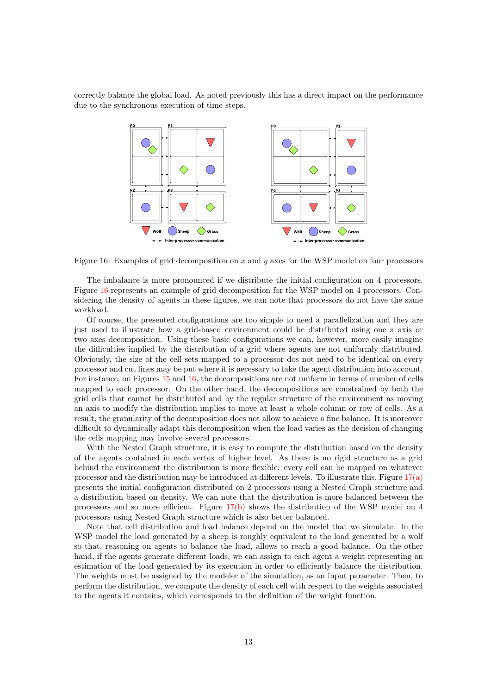correctly balance the global load. As noted previously this has a direct impact on the performance due to the synchronous execution of time steps.



<span id="page-12-0"></span>Figure 16: Examples of grid decomposition on  $x$  and  $y$  axes for the WSP model on four processors

The imbalance is more pronounced if we distribute the initial configuration on 4 processors. Figure [16](#page-12-0) represents an example of grid decomposition for the WSP model on 4 processors. Considering the density of agents in these figures, we can note that processors do not have the same workload.

Of course, the presented configurations are too simple to need a parallelization and they are just used to illustrate how a grid-based environment could be distributed using one a axis or two axes decomposition. Using these basic configurations we can, however, more easily imagine the difficulties implied by the distribution of a grid where agents are not uniformly distributed. Obviously, the size of the cell sets mapped to a processor dos not need to be identical on every processor and cut lines may be put where it is necessary to take the agent distribution into account. For instance, on Figures [15](#page-11-2) and [16,](#page-12-0) the decompositions are not uniform in terms of number of cells mapped to each processor. On the other hand, the decompositions are constrained by both the grid cells that cannot be distributed and by the regular structure of the environment as moving an axis to modify the distribution implies to move at least a whole column or row of cells. As a result, the granularity of the decomposition does not allow to achieve a fine balance. It is moreover difficult to dynamically adapt this decomposition when the load varies as the decision of changing the cells mapping may involve several processors.

With the Nested Graph structure, it is easy to compute the distribution based on the density of the agents contained in each vertex of higher level. As there is no rigid structure as a grid behind the environment the distribution is more flexible: every cell can be mapped on whatever processor and the distribution may be introduced at different levels. To illustrate this, Figure [17\(a\)](#page-13-0) presents the initial configuration distributed on 2 processors using a Nested Graph structure and a distribution based on density. We can note that the distribution is more balanced between the processors and so more efficient. Figure [17\(b\)](#page-13-1) shows the distribution of the WSP model on 4 processors using Nested Graph structure which is also better balanced.

Note that cell distribution and load balance depend on the model that we simulate. In the WSP model the load generated by a sheep is roughly equivalent to the load generated by a wolf so that, reasoning on agents to balance the load, allows to reach a good balance. On the other hand, if the agents generate different loads, we can assign to each agent a weight representing an estimation of the load generated by its execution in order to efficiently balance the distribution. The weights must be assigned by the modeler of the simulation, as an input parameter. Then, to perform the distribution, we compute the density of each cell with respect to the weights associated to the agents it contains, which corresponds to the definition of the weight function.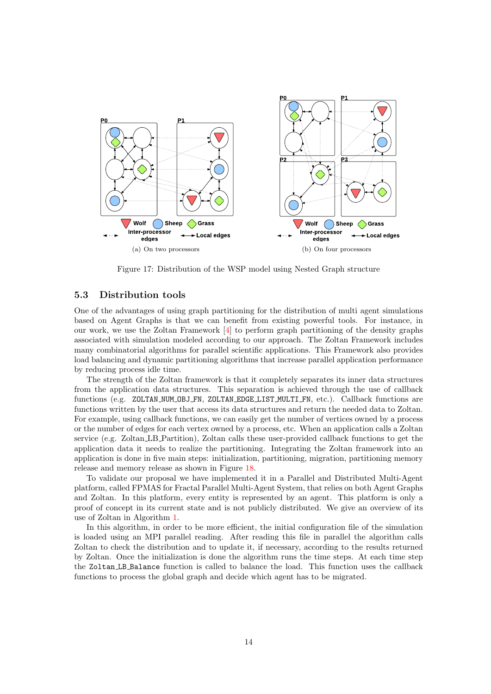<span id="page-13-0"></span>

<span id="page-13-1"></span>Figure 17: Distribution of the WSP model using Nested Graph structure

#### 5.3 Distribution tools

One of the advantages of using graph partitioning for the distribution of multi agent simulations based on Agent Graphs is that we can benefit from existing powerful tools. For instance, in our work, we use the Zoltan Framework [\[4\]](#page-20-4) to perform graph partitioning of the density graphs associated with simulation modeled according to our approach. The Zoltan Framework includes many combinatorial algorithms for parallel scientific applications. This Framework also provides load balancing and dynamic partitioning algorithms that increase parallel application performance by reducing process idle time.

The strength of the Zoltan framework is that it completely separates its inner data structures from the application data structures. This separation is achieved through the use of callback functions (e.g. ZOLTAN NUM OBJ FN, ZOLTAN EDGE LIST MULTI FN, etc.). Callback functions are functions written by the user that access its data structures and return the needed data to Zoltan. For example, using callback functions, we can easily get the number of vertices owned by a process or the number of edges for each vertex owned by a process, etc. When an application calls a Zoltan service (e.g. Zoltan LB Partition), Zoltan calls these user-provided callback functions to get the application data it needs to realize the partitioning. Integrating the Zoltan framework into an application is done in five main steps: initialization, partitioning, migration, partitioning memory release and memory release as shown in Figure [18.](#page-14-1)

To validate our proposal we have implemented it in a Parallel and Distributed Multi-Agent platform, called FPMAS for Fractal Parallel Multi-Agent System, that relies on both Agent Graphs and Zoltan. In this platform, every entity is represented by an agent. This platform is only a proof of concept in its current state and is not publicly distributed. We give an overview of its use of Zoltan in Algorithm [1.](#page-15-0)

In this algorithm, in order to be more efficient, the initial configuration file of the simulation is loaded using an MPI parallel reading. After reading this file in parallel the algorithm calls Zoltan to check the distribution and to update it, if necessary, according to the results returned by Zoltan. Once the initialization is done the algorithm runs the time steps. At each time step the Zoltan LB Balance function is called to balance the load. This function uses the callback functions to process the global graph and decide which agent has to be migrated.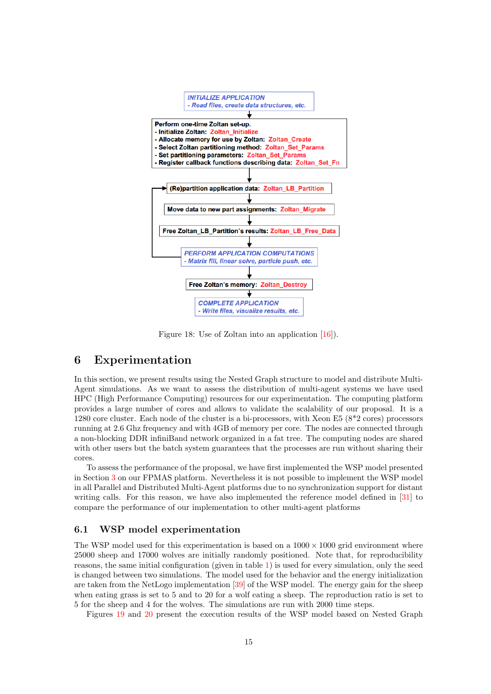

<span id="page-14-1"></span>Figure 18: Use of Zoltan into an application [\[16\]](#page-21-14)).

### <span id="page-14-0"></span>6 Experimentation

In this section, we present results using the Nested Graph structure to model and distribute Multi-Agent simulations. As we want to assess the distribution of multi-agent systems we have used HPC (High Performance Computing) resources for our experimentation. The computing platform provides a large number of cores and allows to validate the scalability of our proposal. It is a 1280 core cluster. Each node of the cluster is a bi-processors, with Xeon E5 (8\*2 cores) processors running at 2.6 Ghz frequency and with 4GB of memory per core. The nodes are connected through a non-blocking DDR infiniBand network organized in a fat tree. The computing nodes are shared with other users but the batch system guarantees that the processes are run without sharing their cores.

To assess the performance of the proposal, we have first implemented the WSP model presented in Section [3](#page-3-0) on our FPMAS platform. Nevertheless it is not possible to implement the WSP model in all Parallel and Distributed Multi-Agent platforms due to no synchronization support for distant writing calls. For this reason, we have also implemented the reference model defined in [\[31\]](#page-22-14) to compare the performance of our implementation to other multi-agent platforms

#### 6.1 WSP model experimentation

The WSP model used for this experimentation is based on a  $1000 \times 1000$  grid environment where 25000 sheep and 17000 wolves are initially randomly positioned. Note that, for reproducibility reasons, the same initial configuration (given in table [1\)](#page-15-1) is used for every simulation, only the seed is changed between two simulations. The model used for the behavior and the energy initialization are taken from the NetLogo implementation [\[39\]](#page-23-2) of the WSP model. The energy gain for the sheep when eating grass is set to 5 and to 20 for a wolf eating a sheep. The reproduction ratio is set to 5 for the sheep and 4 for the wolves. The simulations are run with 2000 time steps.

Figures [19](#page-15-2) and [20](#page-16-0) present the execution results of the WSP model based on Nested Graph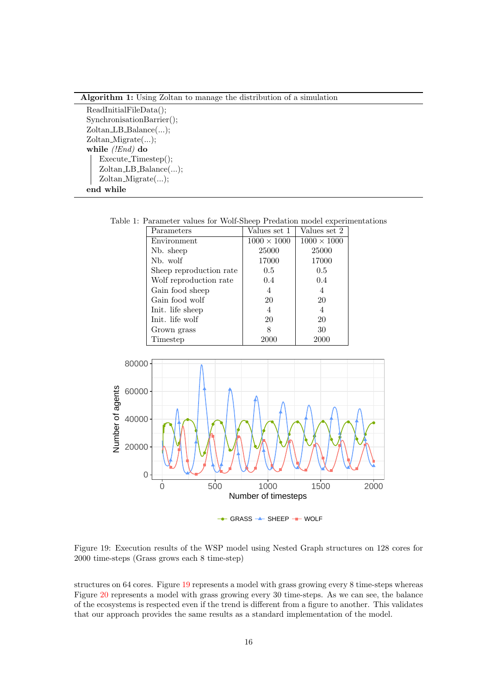| <b>Algorithm 1:</b> Using Zoltan to manage the distribution of a simulation |
|-----------------------------------------------------------------------------|
| ReadInitialFileData();                                                      |
| SynchronizationBarrier();                                                   |
| $Zoltan_L B_B$ -Balance $();$                                               |
| $Zoltan_Migrate();$                                                         |
| while $(End)$ do                                                            |
| $Execute\_Timestop();$                                                      |
| $ZoltanLBBalance();$                                                        |
| $Zoltan_Migrate();$                                                         |
| end while                                                                   |

<span id="page-15-0"></span>Table 1: Parameter values for Wolf-Sheep Predation model experimentations

<span id="page-15-1"></span>

| Parameters              | Values set 1       | Values set $2$     |
|-------------------------|--------------------|--------------------|
| Environment             | $1000 \times 1000$ | $1000 \times 1000$ |
| Nb. sheep               | 25000              | 25000              |
| N <sub>b</sub> , wolf   | 17000              | 17000              |
| Sheep reproduction rate | $0.5\,$            | 0.5                |
| Wolf reproduction rate  | 0.4                | 0.4                |
| Gain food sheep         |                    | 4                  |
| Gain food wolf          | 20                 | 20                 |
| Init. life sheep        | 4                  | 4                  |
| Init. life wolf         | 20                 | 20                 |
| Grown grass             | 8                  | 30                 |
| Timestep                |                    | 2000               |



<span id="page-15-2"></span>Figure 19: Execution results of the WSP model using Nested Graph structures on 128 cores for 2000 time-steps (Grass grows each 8 time-step)

structures on 64 cores. Figure [19](#page-15-2) represents a model with grass growing every 8 time-steps whereas Figure [20](#page-16-0) represents a model with grass growing every 30 time-steps. As we can see, the balance of the ecosystems is respected even if the trend is different from a figure to another. This validates that our approach provides the same results as a standard implementation of the model.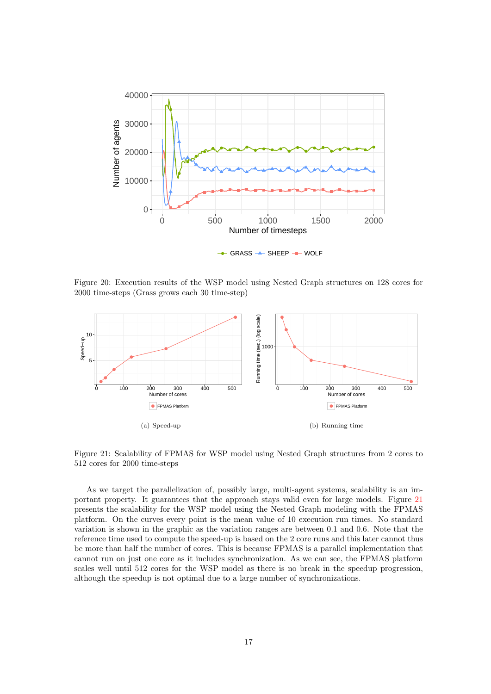

<span id="page-16-0"></span>Figure 20: Execution results of the WSP model using Nested Graph structures on 128 cores for 2000 time-steps (Grass grows each 30 time-step)



<span id="page-16-1"></span>Figure 21: Scalability of FPMAS for WSP model using Nested Graph structures from 2 cores to 512 cores for 2000 time-steps

As we target the parallelization of, possibly large, multi-agent systems, scalability is an important property. It guarantees that the approach stays valid even for large models. Figure [21](#page-16-1) presents the scalability for the WSP model using the Nested Graph modeling with the FPMAS platform. On the curves every point is the mean value of 10 execution run times. No standard variation is shown in the graphic as the variation ranges are between 0.1 and 0.6. Note that the reference time used to compute the speed-up is based on the 2 core runs and this later cannot thus be more than half the number of cores. This is because FPMAS is a parallel implementation that cannot run on just one core as it includes synchronization. As we can see, the FPMAS platform scales well until 512 cores for the WSP model as there is no break in the speedup progression, although the speedup is not optimal due to a large number of synchronizations.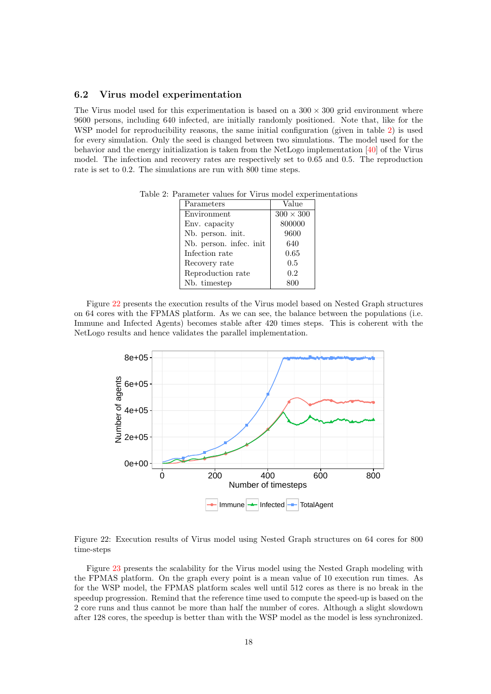#### 6.2 Virus model experimentation

The Virus model used for this experimentation is based on a  $300 \times 300$  grid environment where 9600 persons, including 640 infected, are initially randomly positioned. Note that, like for the WSP model for reproducibility reasons, the same initial configuration (given in table [2\)](#page-17-0) is used for every simulation. Only the seed is changed between two simulations. The model used for the behavior and the energy initialization is taken from the NetLogo implementation [\[40\]](#page-23-3) of the Virus model. The infection and recovery rates are respectively set to 0.65 and 0.5. The reproduction rate is set to 0.2. The simulations are run with 800 time steps.

<span id="page-17-0"></span>

| Parameters              | Value            |
|-------------------------|------------------|
| Environment             | $300 \times 300$ |
| Env. capacity           | 800000           |
| Nb. person. init.       | 9600             |
| Nb. person. infec. init | 640              |
| Infection rate          | 0.65             |
| Recovery rate           | 0.5              |
| Reproduction rate       | 0.2              |
| Nb. timestep            | 800              |

Table 2: Parameter values for Virus model experimentations

Figure [22](#page-17-1) presents the execution results of the Virus model based on Nested Graph structures on 64 cores with the FPMAS platform. As we can see, the balance between the populations (i.e. Immune and Infected Agents) becomes stable after 420 times steps. This is coherent with the NetLogo results and hence validates the parallel implementation.



<span id="page-17-1"></span>Figure 22: Execution results of Virus model using Nested Graph structures on 64 cores for 800 time-steps

Figure [23](#page-18-0) presents the scalability for the Virus model using the Nested Graph modeling with the FPMAS platform. On the graph every point is a mean value of 10 execution run times. As for the WSP model, the FPMAS platform scales well until 512 cores as there is no break in the speedup progression. Remind that the reference time used to compute the speed-up is based on the 2 core runs and thus cannot be more than half the number of cores. Although a slight slowdown after 128 cores, the speedup is better than with the WSP model as the model is less synchronized.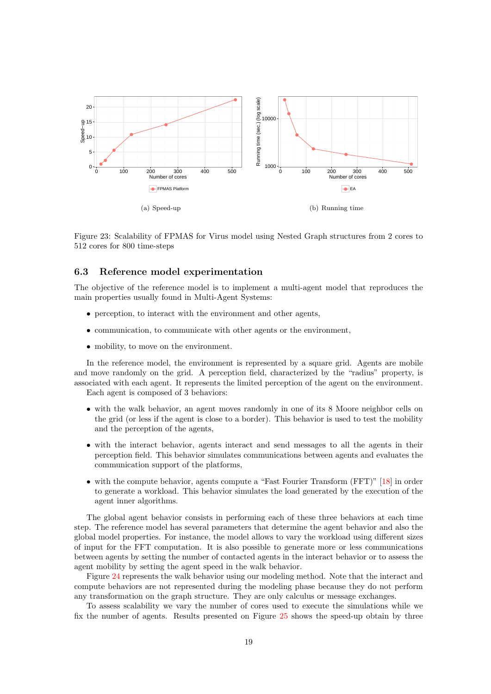

<span id="page-18-0"></span>Figure 23: Scalability of FPMAS for Virus model using Nested Graph structures from 2 cores to 512 cores for 800 time-steps

#### 6.3 Reference model experimentation

The objective of the reference model is to implement a multi-agent model that reproduces the main properties usually found in Multi-Agent Systems:

- perception, to interact with the environment and other agents,
- communication, to communicate with other agents or the environment,
- mobility, to move on the environment.

In the reference model, the environment is represented by a square grid. Agents are mobile and move randomly on the grid. A perception field, characterized by the "radius" property, is associated with each agent. It represents the limited perception of the agent on the environment. Each agent is composed of 3 behaviors:

- with the walk behavior, an agent moves randomly in one of its 8 Moore neighbor cells on the grid (or less if the agent is close to a border). This behavior is used to test the mobility and the perception of the agents,
- with the interact behavior, agents interact and send messages to all the agents in their perception field. This behavior simulates communications between agents and evaluates the communication support of the platforms,
- with the compute behavior, agents compute a "Fast Fourier Transform (FFT)" [\[18\]](#page-21-15) in order to generate a workload. This behavior simulates the load generated by the execution of the agent inner algorithms.

The global agent behavior consists in performing each of these three behaviors at each time step. The reference model has several parameters that determine the agent behavior and also the global model properties. For instance, the model allows to vary the workload using different sizes of input for the FFT computation. It is also possible to generate more or less communications between agents by setting the number of contacted agents in the interact behavior or to assess the agent mobility by setting the agent speed in the walk behavior.

Figure [24](#page-19-0) represents the walk behavior using our modeling method. Note that the interact and compute behaviors are not represented during the modeling phase because they do not perform any transformation on the graph structure. They are only calculus or message exchanges.

To assess scalability we vary the number of cores used to execute the simulations while we fix the number of agents. Results presented on Figure [25](#page-19-1) shows the speed-up obtain by three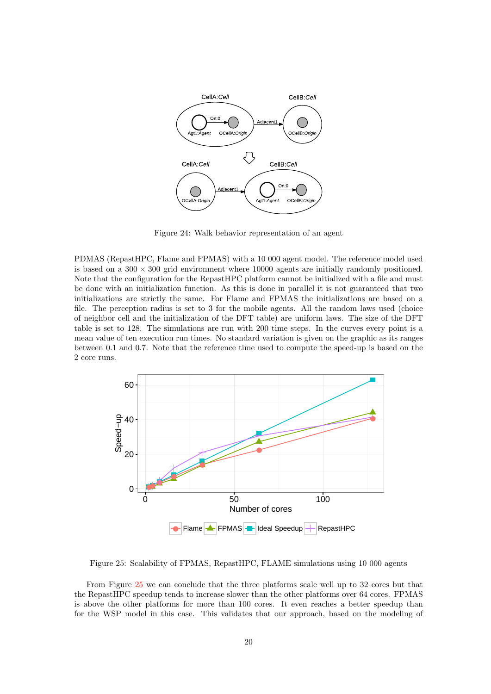

<span id="page-19-0"></span>Figure 24: Walk behavior representation of an agent

PDMAS (RepastHPC, Flame and FPMAS) with a 10 000 agent model. The reference model used is based on a  $300 \times 300$  grid environment where 10000 agents are initially randomly positioned. Note that the configuration for the RepastHPC platform cannot be initialized with a file and must be done with an initialization function. As this is done in parallel it is not guaranteed that two initializations are strictly the same. For Flame and FPMAS the initializations are based on a file. The perception radius is set to 3 for the mobile agents. All the random laws used (choice of neighbor cell and the initialization of the DFT table) are uniform laws. The size of the DFT table is set to 128. The simulations are run with 200 time steps. In the curves every point is a mean value of ten execution run times. No standard variation is given on the graphic as its ranges between 0.1 and 0.7. Note that the reference time used to compute the speed-up is based on the 2 core runs.



<span id="page-19-1"></span>Figure 25: Scalability of FPMAS, RepastHPC, FLAME simulations using 10 000 agents

From Figure [25](#page-19-1) we can conclude that the three platforms scale well up to 32 cores but that the RepastHPC speedup tends to increase slower than the other platforms over 64 cores. FPMAS is above the other platforms for more than 100 cores. It even reaches a better speedup than for the WSP model in this case. This validates that our approach, based on the modeling of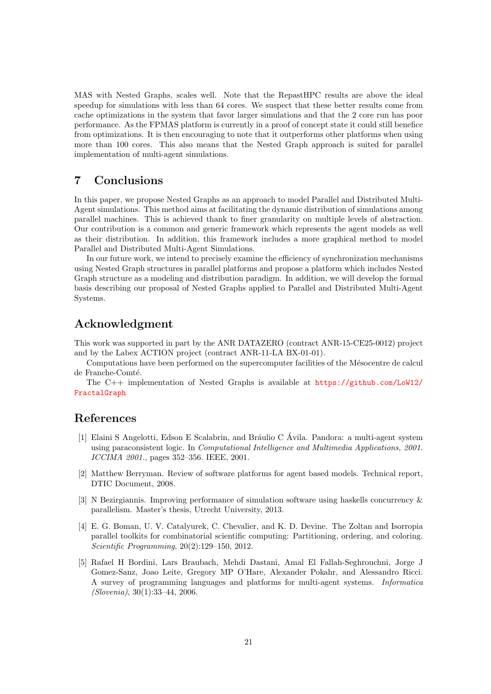MAS with Nested Graphs, scales well. Note that the RepastHPC results are above the ideal speedup for simulations with less than 64 cores. We suspect that these better results come from cache optimizations in the system that favor larger simulations and that the 2 core run has poor performance. As the FPMAS platform is currently in a proof of concept state it could still benefice from optimizations. It is then encouraging to note that it outperforms other platforms when using more than 100 cores. This also means that the Nested Graph approach is suited for parallel implementation of multi-agent simulations.

# 7 Conclusions

In this paper, we propose Nested Graphs as an approach to model Parallel and Distributed Multi-Agent simulations. This method aims at facilitating the dynamic distribution of simulations among parallel machines. This is achieved thank to finer granularity on multiple levels of abstraction. Our contribution is a common and generic framework which represents the agent models as well as their distribution. In addition, this framework includes a more graphical method to model Parallel and Distributed Multi-Agent Simulations.

In our future work, we intend to precisely examine the efficiency of synchronization mechanisms using Nested Graph structures in parallel platforms and propose a platform which includes Nested Graph structure as a modeling and distribution paradigm. In addition, we will develop the formal basis describing our proposal of Nested Graphs applied to Parallel and Distributed Multi-Agent Systems.

### Acknowledgment

This work was supported in part by the ANR DATAZERO (contract ANR-15-CE25-0012) project and by the Labex ACTION project (contract ANR-11-LA BX-01-01).

Computations have been performed on the supercomputer facilities of the Mésocentre de calcul de Franche-Comté.

The C++ implementation of Nested Graphs is available at [https://github.com/LoW12/](https://github.com/LoW12/FractalGraph) [FractalGraph](https://github.com/LoW12/FractalGraph)

### References

- <span id="page-20-3"></span>[1] Elaini S Angelotti, Edson E Scalabrin, and Bráulio C Ávila. Pandora: a multi-agent system using paraconsistent logic. In Computational Intelligence and Multimedia Applications, 2001. ICCIMA 2001., pages 352–356. IEEE, 2001.
- <span id="page-20-1"></span>[2] Matthew Berryman. Review of software platforms for agent based models. Technical report, DTIC Document, 2008.
- <span id="page-20-2"></span>[3] N Bezirgiannis. Improving performance of simulation software using haskells concurrency & parallelism. Master's thesis, Utrecht University, 2013.
- <span id="page-20-4"></span>[4] E. G. Boman, U. V. Catalyurek, C. Chevalier, and K. D. Devine. The Zoltan and Isorropia parallel toolkits for combinatorial scientific computing: Partitioning, ordering, and coloring. Scientific Programming, 20(2):129–150, 2012.
- <span id="page-20-0"></span>[5] Rafael H Bordini, Lars Braubach, Mehdi Dastani, Amal El Fallah-Seghrouchni, Jorge J Gomez-Sanz, Joao Leite, Gregory MP O'Hare, Alexander Pokahr, and Alessandro Ricci. A survey of programming languages and platforms for multi-agent systems. Informatica (Slovenia), 30(1):33–44, 2006.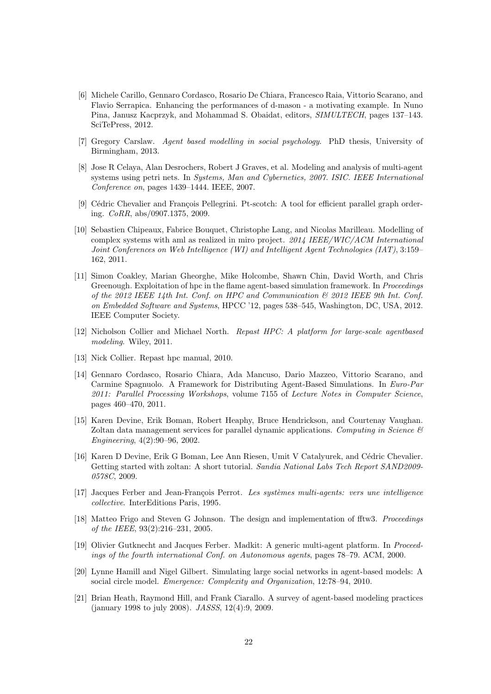- <span id="page-21-8"></span>[6] Michele Carillo, Gennaro Cordasco, Rosario De Chiara, Francesco Raia, Vittorio Scarano, and Flavio Serrapica. Enhancing the performances of d-mason - a motivating example. In Nuno Pina, Janusz Kacprzyk, and Mohammad S. Obaidat, editors, SIMULTECH, pages 137–143. SciTePress, 2012.
- <span id="page-21-0"></span>[7] Gregory Carslaw. Agent based modelling in social psychology. PhD thesis, University of Birmingham, 2013.
- <span id="page-21-13"></span>[8] Jose R Celaya, Alan Desrochers, Robert J Graves, et al. Modeling and analysis of multi-agent systems using petri nets. In Systems, Man and Cybernetics, 2007. ISIC. IEEE International Conference on, pages 1439–1444. IEEE, 2007.
- <span id="page-21-11"></span>[9] Cédric Chevalier and François Pellegrini. Pt-scotch: A tool for efficient parallel graph ordering. CoRR, abs/0907.1375, 2009.
- <span id="page-21-4"></span>[10] Sebastien Chipeaux, Fabrice Bouquet, Christophe Lang, and Nicolas Marilleau. Modelling of complex systems with aml as realized in miro project. 2014 IEEE/WIC/ACM International Joint Conferences on Web Intelligence (WI) and Intelligent Agent Technologies (IAT), 3:159– 162, 2011.
- <span id="page-21-7"></span>[11] Simon Coakley, Marian Gheorghe, Mike Holcombe, Shawn Chin, David Worth, and Chris Greenough. Exploitation of hpc in the flame agent-based simulation framework. In *Proceedings* of the 2012 IEEE 14th Int. Conf. on HPC and Communication & 2012 IEEE 9th Int. Conf. on Embedded Software and Systems, HPCC '12, pages 538–545, Washington, DC, USA, 2012. IEEE Computer Society.
- <span id="page-21-5"></span>[12] Nicholson Collier and Michael North. Repast HPC: A platform for large-scale agentbased modeling. Wiley, 2011.
- <span id="page-21-9"></span>[13] Nick Collier. Repast hpc manual, 2010.
- <span id="page-21-6"></span>[14] Gennaro Cordasco, Rosario Chiara, Ada Mancuso, Dario Mazzeo, Vittorio Scarano, and Carmine Spagnuolo. A Framework for Distributing Agent-Based Simulations. In Euro-Par 2011: Parallel Processing Workshops, volume 7155 of Lecture Notes in Computer Science, pages 460–470, 2011.
- <span id="page-21-12"></span>[15] Karen Devine, Erik Boman, Robert Heaphy, Bruce Hendrickson, and Courtenay Vaughan. Zoltan data management services for parallel dynamic applications. Computing in Science  $\mathcal{C}$ Engineering, 4(2):90–96, 2002.
- <span id="page-21-14"></span>[16] Karen D Devine, Erik G Boman, Lee Ann Riesen, Umit V Catalyurek, and Cédric Chevalier. Getting started with zoltan: A short tutorial. Sandia National Labs Tech Report SAND2009-0578C, 2009.
- <span id="page-21-1"></span>[17] Jacques Ferber and Jean-François Perrot. Les systèmes multi-agents: vers une intelligence collective. InterEditions Paris, 1995.
- <span id="page-21-15"></span>[18] Matteo Frigo and Steven G Johnson. The design and implementation of fftw3. Proceedings of the IEEE, 93(2):216–231, 2005.
- <span id="page-21-2"></span>[19] Olivier Gutknecht and Jacques Ferber. Madkit: A generic multi-agent platform. In Proceedings of the fourth international Conf. on Autonomous agents, pages 78–79. ACM, 2000.
- <span id="page-21-10"></span>[20] Lynne Hamill and Nigel Gilbert. Simulating large social networks in agent-based models: A social circle model. Emergence: Complexity and Organization, 12:78–94, 2010.
- <span id="page-21-3"></span>[21] Brian Heath, Raymond Hill, and Frank Ciarallo. A survey of agent-based modeling practices (january 1998 to july 2008). JASSS, 12(4):9, 2009.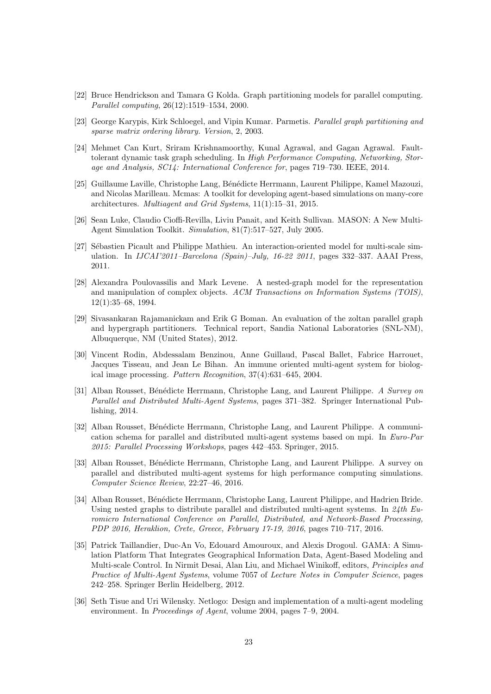- <span id="page-22-10"></span>[22] Bruce Hendrickson and Tamara G Kolda. Graph partitioning models for parallel computing. Parallel computing, 26(12):1519–1534, 2000.
- <span id="page-22-11"></span>[23] George Karypis, Kirk Schloegel, and Vipin Kumar. Parmetis. Parallel graph partitioning and sparse matrix ordering library. Version, 2, 2003.
- <span id="page-22-9"></span>[24] Mehmet Can Kurt, Sriram Krishnamoorthy, Kunal Agrawal, and Gagan Agrawal. Faulttolerant dynamic task graph scheduling. In High Performance Computing, Networking, Storage and Analysis, SC14: International Conference for, pages 719–730. IEEE, 2014.
- <span id="page-22-7"></span>[25] Guillaume Laville, Christophe Lang, Bénédicte Herrmann, Laurent Philippe, Kamel Mazouzi, and Nicolas Marilleau. Mcmas: A toolkit for developing agent-based simulations on many-core architectures. Multiagent and Grid Systems, 11(1):15–31, 2015.
- <span id="page-22-4"></span>[26] Sean Luke, Claudio Cioffi-Revilla, Liviu Panait, and Keith Sullivan. MASON: A New Multi-Agent Simulation Toolkit. Simulation, 81(7):517–527, July 2005.
- <span id="page-22-13"></span>[27] Sébastien Picault and Philippe Mathieu. An interaction-oriented model for multi-scale simulation. In *IJCAI'2011–Barcelona (Spain)–July, 16-22 2011*, pages 332–337. AAAI Press, 2011.
- <span id="page-22-1"></span>[28] Alexandra Poulovassilis and Mark Levene. A nested-graph model for the representation and manipulation of complex objects. ACM Transactions on Information Systems (TOIS), 12(1):35–68, 1994.
- <span id="page-22-12"></span>[29] Sivasankaran Rajamanickam and Erik G Boman. An evaluation of the zoltan parallel graph and hypergraph partitioners. Technical report, Sandia National Laboratories (SNL-NM), Albuquerque, NM (United States), 2012.
- <span id="page-22-0"></span>[30] Vincent Rodin, Abdessalam Benzinou, Anne Guillaud, Pascal Ballet, Fabrice Harrouet, Jacques Tisseau, and Jean Le Bihan. An immune oriented multi-agent system for biological image processing. Pattern Recognition, 37(4):631–645, 2004.
- <span id="page-22-14"></span>[31] Alban Rousset, Bénédicte Herrmann, Christophe Lang, and Laurent Philippe. A Survey on Parallel and Distributed Multi-Agent Systems, pages 371–382. Springer International Publishing, 2014.
- <span id="page-22-8"></span>[32] Alban Rousset, Bénédicte Herrmann, Christophe Lang, and Laurent Philippe. A communication schema for parallel and distributed multi-agent systems based on mpi. In Euro-Par 2015: Parallel Processing Workshops, pages 442–453. Springer, 2015.
- <span id="page-22-6"></span>[33] Alban Rousset, Bénédicte Herrmann, Christophe Lang, and Laurent Philippe. A survey on parallel and distributed multi-agent systems for high performance computing simulations. Computer Science Review, 22:27–46, 2016.
- <span id="page-22-2"></span>[34] Alban Rousset, Bénédicte Herrmann, Christophe Lang, Laurent Philippe, and Hadrien Bride. Using nested graphs to distribute parallel and distributed multi-agent systems. In  $24$ th Euromicro International Conference on Parallel, Distributed, and Network-Based Processing, PDP 2016, Heraklion, Crete, Greece, February 17-19, 2016, pages 710–717, 2016.
- <span id="page-22-5"></span>[35] Patrick Taillandier, Duc-An Vo, Edouard Amouroux, and Alexis Drogoul. GAMA: A Simulation Platform That Integrates Geographical Information Data, Agent-Based Modeling and Multi-scale Control. In Nirmit Desai, Alan Liu, and Michael Winikoff, editors, Principles and Practice of Multi-Agent Systems, volume 7057 of Lecture Notes in Computer Science, pages 242–258. Springer Berlin Heidelberg, 2012.
- <span id="page-22-3"></span>[36] Seth Tisue and Uri Wilensky. Netlogo: Design and implementation of a multi-agent modeling environment. In Proceedings of Agent, volume 2004, pages 7–9, 2004.